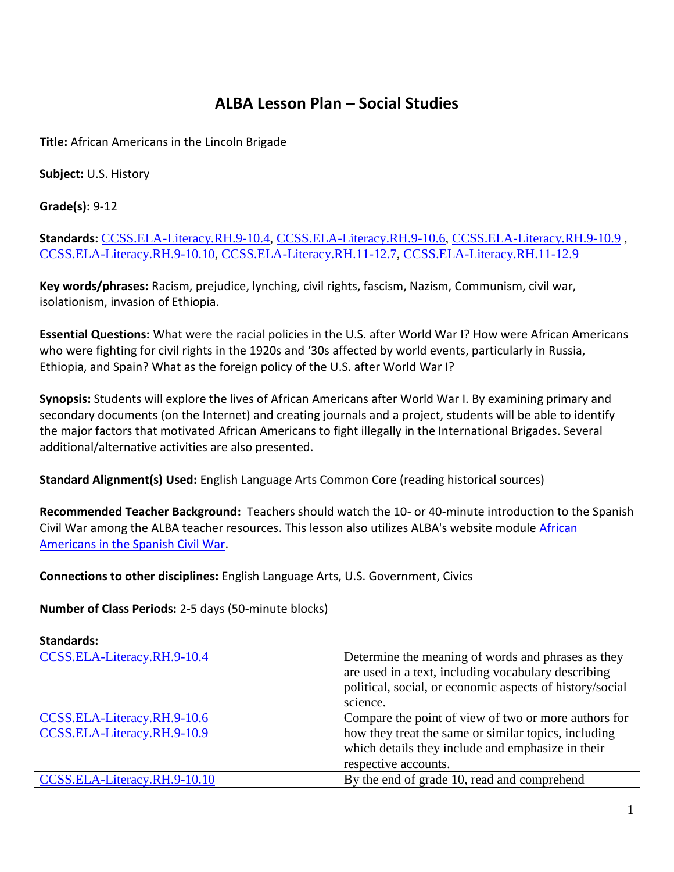# **ALBA Lesson Plan – Social Studies**

**Title:** African Americans in the Lincoln Brigade

**Subject:** U.S. History

**Grade(s):** 9-12

**Standards:** [CCSS.ELA-Literacy.RH.9-10.4,](http://www.corestandards.org/ELA-Literacy/RH/9-10/4/) [CCSS.ELA-Literacy.RH.9-10.6,](http://www.corestandards.org/ELA-Literacy/RH/9-10/6/) [CCSS.ELA-Literacy.RH.9-10.9](http://www.corestandards.org/ELA-Literacy/RH/9-10/9/) , [CCSS.ELA-Literacy.RH.9-10.10,](http://www.corestandards.org/ELA-Literacy/RH/9-10/10/) [CCSS.ELA-Literacy.RH.11-12.7,](http://www.corestandards.org/ELA-Literacy/RH/11-12/7/) [CCSS.ELA-Literacy.RH.11-12.9](http://www.corestandards.org/ELA-Literacy/RH/11-12/9/)

**Key words/phrases:** Racism, prejudice, lynching, civil rights, fascism, Nazism, Communism, civil war, isolationism, invasion of Ethiopia.

**Essential Questions:** What were the racial policies in the U.S. after World War I? How were African Americans who were fighting for civil rights in the 1920s and '30s affected by world events, particularly in Russia, Ethiopia, and Spain? What as the foreign policy of the U.S. after World War I?

**Synopsis:** Students will explore the lives of African Americans after World War I. By examining primary and secondary documents (on the Internet) and creating journals and a project, students will be able to identify the major factors that motivated African Americans to fight illegally in the International Brigades. Several additional/alternative activities are also presented.

**Standard Alignment(s) Used:** English Language Arts Common Core (reading historical sources)

**Recommended Teacher Background:** Teachers should watch the 10- or 40-minute introduction to the Spanish Civil War among the ALBA teacher resources. This lesson also utilizes ALBA's website module [African](http://www.alba-valb.org/resources/lessons/african-americans-in-the-spanish-civil-war)  [Americans in the Spanish Civil War.](http://www.alba-valb.org/resources/lessons/african-americans-in-the-spanish-civil-war)

**Connections to other disciplines:** English Language Arts, U.S. Government, Civics

**Number of Class Periods:** 2-5 days (50-minute blocks)

| Stanuarus.                   |                                                          |
|------------------------------|----------------------------------------------------------|
| CCSS.ELA-Literacy.RH.9-10.4  | Determine the meaning of words and phrases as they       |
|                              | are used in a text, including vocabulary describing      |
|                              | political, social, or economic aspects of history/social |
|                              | science.                                                 |
| CCSS.ELA-Literacy.RH.9-10.6  | Compare the point of view of two or more authors for     |
| CCSS.ELA-Literacy.RH.9-10.9  | how they treat the same or similar topics, including     |
|                              | which details they include and emphasize in their        |
|                              | respective accounts.                                     |
| CCSS.ELA-Literacy.RH.9-10.10 | By the end of grade 10, read and comprehend              |

#### **Standards:**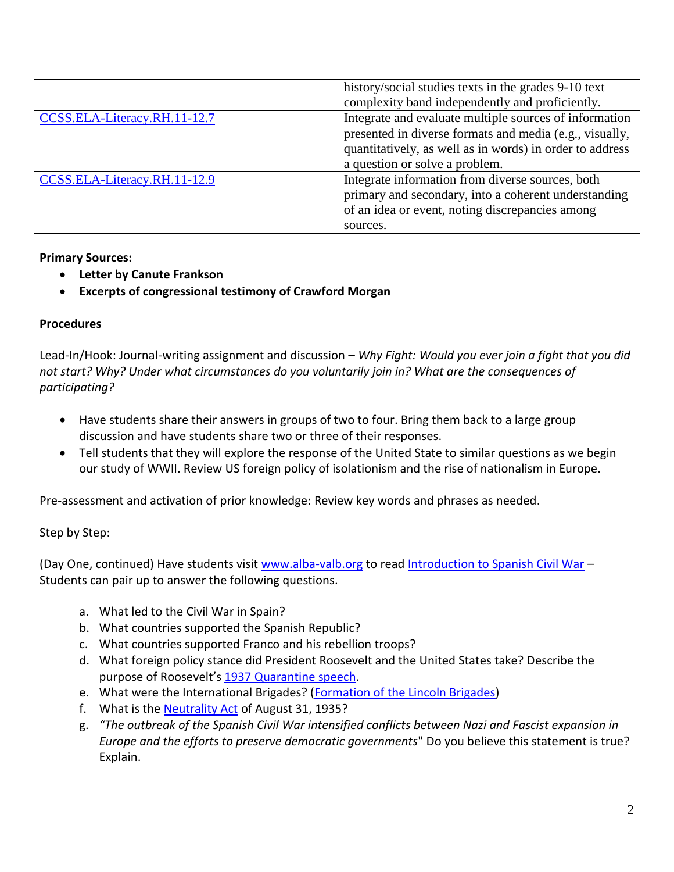|                              | history/social studies texts in the grades 9-10 text<br>complexity band independently and proficiently.                                                                                                         |
|------------------------------|-----------------------------------------------------------------------------------------------------------------------------------------------------------------------------------------------------------------|
| CCSS.ELA-Literacy.RH.11-12.7 | Integrate and evaluate multiple sources of information<br>presented in diverse formats and media (e.g., visually,<br>quantitatively, as well as in words) in order to address<br>a question or solve a problem. |
| CCSS.ELA-Literacy.RH.11-12.9 | Integrate information from diverse sources, both<br>primary and secondary, into a coherent understanding<br>of an idea or event, noting discrepancies among<br>sources.                                         |

**Primary Sources:**

- **Letter by Canute Frankson**
- **Excerpts of congressional testimony of Crawford Morgan**

### **Procedures**

Lead-In/Hook: Journal-writing assignment and discussion – *Why Fight: Would you ever join a fight that you did not start? Why? Under what circumstances do you voluntarily join in? What are the consequences of participating?*

- Have students share their answers in groups of two to four. Bring them back to a large group discussion and have students share two or three of their responses.
- Tell students that they will explore the response of the United State to similar questions as we begin our study of WWII. Review US foreign policy of isolationism and the rise of nationalism in Europe.

Pre-assessment and activation of prior knowledge: Review key words and phrases as needed.

## Step by Step:

(Day One, continued) Have students visit [www.alba-valb.org](http://www.alba-valb.org/) to read [Introduction to Spanish Civil War](http://www.alba-valb.org/resources/lessons/introduction-to-the-spanish-civil-war/spain-in-1931) – Students can pair up to answer the following questions.

- a. What led to the Civil War in Spain?
- b. What countries supported the Spanish Republic?
- c. What countries supported Franco and his rebellion troops?
- d. What foreign policy stance did President Roosevelt and the United States take? Describe the purpose of Roosevelt's [1937 Quarantine speech.](http://www.teachingamericanhistory.org/library/index.asp?document=956)
- e. What were the International Brigades? [\(Formation of the Lincoln Brigades\)](http://www.alba-valb.org/resources/lessons/introduction-to-the-spanish-civil-war/the-formation-of-the-international-brigades)
- f. What is the [Neutrality Act](http://www.teachingamericanhistory.org/library/index.asp?document=1564) of August 31, 1935?
- g. *"The outbreak of the Spanish Civil War intensified conflicts between Nazi and Fascist expansion in Europe and the efforts to preserve democratic governments*" Do you believe this statement is true? Explain.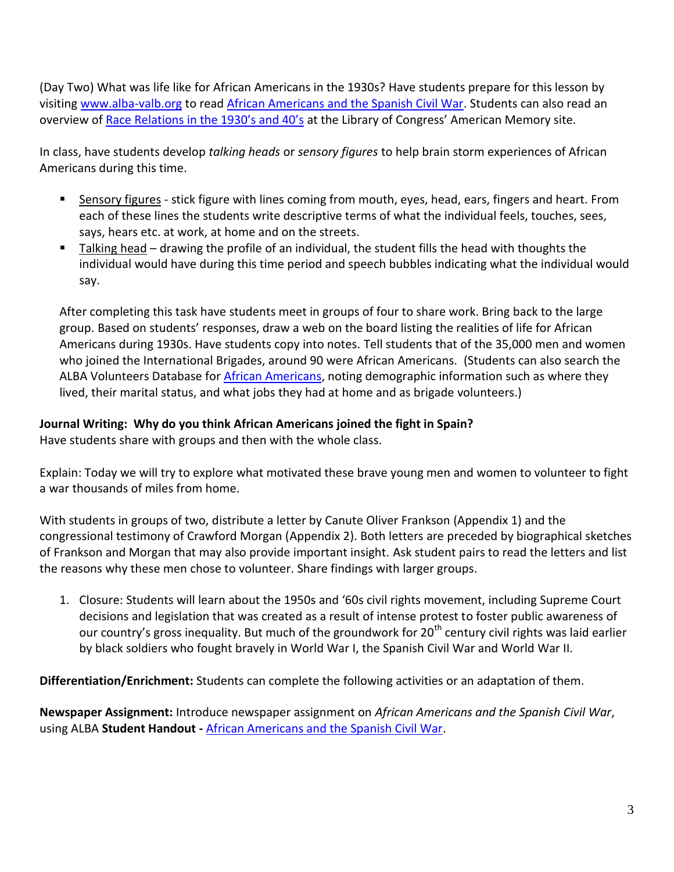(Day Two) What was life like for African Americans in the 1930s? Have students prepare for this lesson by visiting [www.alba-valb.org](http://www.alba-valb.org/) to read [African Americans and the Spanish Civil War.](http://www.alba-valb.org/resources/lessons/african-americans-in-the-spanish-civil-war/the-war-in-spain) Students can also read an overview of [Race Relations in the 1930's and 40's](http://www.loc.gov/teachers/classroommaterials/presentationsandactivities/presentations/civil-rights/learn_more.html) at the Library of Congress' American Memory site.

In class, have students develop *talking heads* or *sensory figures* to help brain storm experiences of African Americans during this time.

- Sensory figures stick figure with lines coming from mouth, eyes, head, ears, fingers and heart. From each of these lines the students write descriptive terms of what the individual feels, touches, sees, says, hears etc. at work, at home and on the streets.
- Talking head drawing the profile of an individual, the student fills the head with thoughts the individual would have during this time period and speech bubbles indicating what the individual would say.

After completing this task have students meet in groups of four to share work. Bring back to the large group. Based on students' responses, draw a web on the board listing the realities of life for African Americans during 1930s. Have students copy into notes. Tell students that of the 35,000 men and women who joined the International Brigades, around 90 were African Americans. (Students can also search the ALBA Volunteers Database for [African Americans,](http://www.alba-valb.org/volunteers/browse/?q=%22african%22&option=SearchableText) noting demographic information such as where they lived, their marital status, and what jobs they had at home and as brigade volunteers.)

## **Journal Writing: Why do you think African Americans joined the fight in Spain?**

Have students share with groups and then with the whole class.

Explain: Today we will try to explore what motivated these brave young men and women to volunteer to fight a war thousands of miles from home.

With students in groups of two, distribute a letter by Canute Oliver Frankson (Appendix 1) and the congressional testimony of Crawford Morgan (Appendix 2). Both letters are preceded by biographical sketches of Frankson and Morgan that may also provide important insight. Ask student pairs to read the letters and list the reasons why these men chose to volunteer. Share findings with larger groups.

1. Closure: Students will learn about the 1950s and '60s civil rights movement, including Supreme Court decisions and legislation that was created as a result of intense protest to foster public awareness of our country's gross inequality. But much of the groundwork for  $20<sup>th</sup>$  century civil rights was laid earlier by black soldiers who fought bravely in World War I, the Spanish Civil War and World War II.

**Differentiation/Enrichment:** Students can complete the following activities or an adaptation of them.

**Newspaper Assignment:** Introduce newspaper assignment on *African Americans and the Spanish Civil War*, using ALBA **Student Handout -** [African Americans and the Spanish Civil War.](http://www.alba-valb.org/resources/lessons/african-americans-in-the-spanish-civil-war/the-war-in-spain)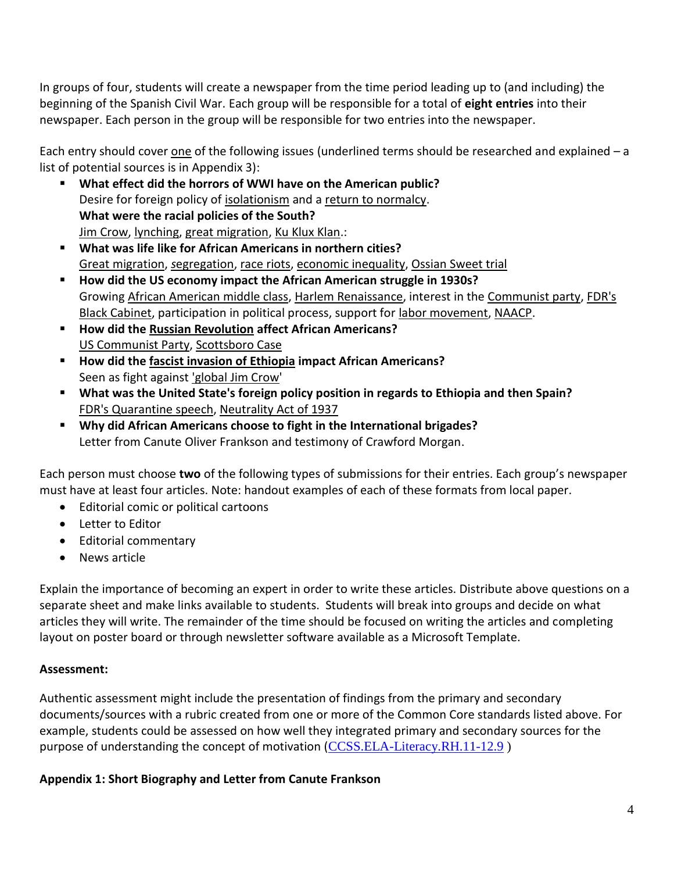In groups of four, students will create a newspaper from the time period leading up to (and including) the beginning of the Spanish Civil War. Each group will be responsible for a total of **eight entries** into their newspaper. Each person in the group will be responsible for two entries into the newspaper.

Each entry should cover one of the following issues (underlined terms should be researched and explained – a list of potential sources is in Appendix 3):

- **What effect did the horrors of WWI have on the American public?** Desire for foreign policy of isolationism and a return to normalcy. **What were the racial policies of the South?** Jim Crow, lynching, great migration, Ku Klux Klan.:
- **What was life like for African Americans in northern cities?** Great migration, *s*egregation, race riots, economic inequality, Ossian Sweet trial
- **How did the US economy impact the African American struggle in 1930s?**  Growing African American middle class, Harlem Renaissance, interest in the Communist party, FDR's Black Cabinet, participation in political process, support for labor movement, NAACP.
- **How did the Russian Revolution affect African Americans?** US Communist Party, Scottsboro Case
- **How did the fascist invasion of Ethiopia impact African Americans?** Seen as fight against 'global Jim Crow'
- **What was the United State's foreign policy position in regards to Ethiopia and then Spain?** FDR's Quarantine speech, Neutrality Act of 1937
- **Why did African Americans choose to fight in the International brigades?** Letter from Canute Oliver Frankson and testimony of Crawford Morgan.

Each person must choose **two** of the following types of submissions for their entries. Each group's newspaper must have at least four articles. Note: handout examples of each of these formats from local paper.

- Editorial comic or political cartoons
- Letter to Editor
- Editorial commentary
- News article

Explain the importance of becoming an expert in order to write these articles. Distribute above questions on a separate sheet and make links available to students. Students will break into groups and decide on what articles they will write. The remainder of the time should be focused on writing the articles and completing layout on poster board or through newsletter software available as a Microsoft Template.

## **Assessment:**

Authentic assessment might include the presentation of findings from the primary and secondary documents/sources with a rubric created from one or more of the Common Core standards listed above. For example, students could be assessed on how well they integrated primary and secondary sources for the purpose of understanding the concept of motivation ([CCSS.ELA-Literacy.RH.11-12.9](http://www.corestandards.org/ELA-Literacy/RH/11-12/9/) )

**Appendix 1: Short Biography and Letter from Canute Frankson**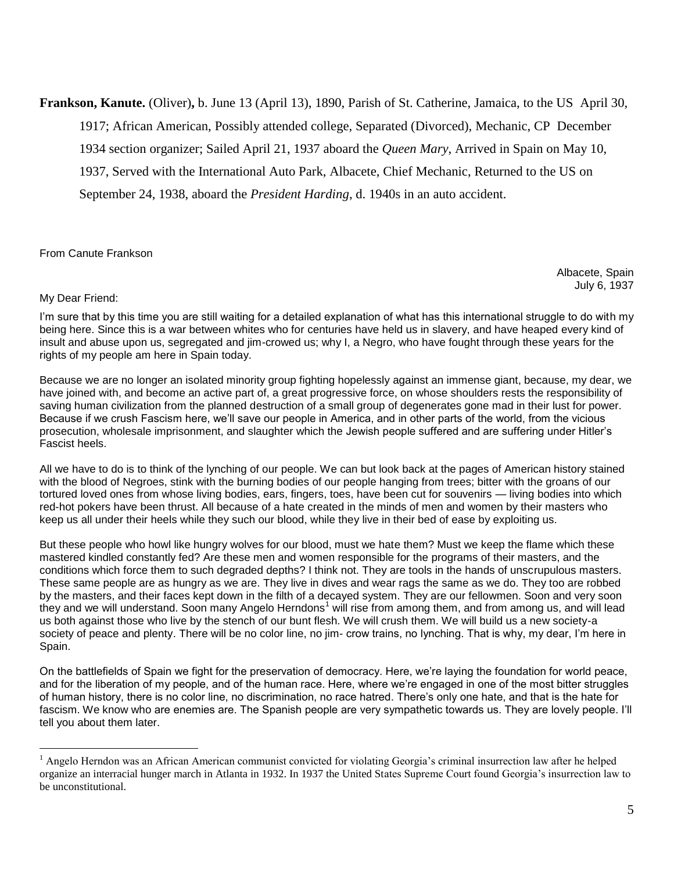**Frankson, Kanute.** (Oliver)**,** b. June 13 (April 13), 1890, Parish of St. Catherine, Jamaica, to the US April 30, 1917; African American, Possibly attended college, Separated (Divorced), Mechanic, CP December 1934 section organizer; Sailed April 21, 1937 aboard the *Queen Mary*, Arrived in Spain on May 10, 1937, Served with the International Auto Park, Albacete, Chief Mechanic, Returned to the US on September 24, 1938, aboard the *President Harding*, d. 1940s in an auto accident.

From Canute Frankson

 Albacete, Spain July 6, 1937

My Dear Friend:

 $\overline{a}$ 

I'm sure that by this time you are still waiting for a detailed explanation of what has this international struggle to do with my being here. Since this is a war between whites who for centuries have held us in slavery, and have heaped every kind of insult and abuse upon us, segregated and jim-crowed us; why I, a Negro, who have fought through these years for the rights of my people am here in Spain today.

Because we are no longer an isolated minority group fighting hopelessly against an immense giant, because, my dear, we have joined with, and become an active part of, a great progressive force, on whose shoulders rests the responsibility of saving human civilization from the planned destruction of a small group of degenerates gone mad in their lust for power. Because if we crush Fascism here, we'll save our people in America, and in other parts of the world, from the vicious prosecution, wholesale imprisonment, and slaughter which the Jewish people suffered and are suffering under Hitler's Fascist heels.

 All we have to do is to think of the lynching of our people. We can but look back at the pages of American history stained with the blood of Negroes, stink with the burning bodies of our people hanging from trees; bitter with the groans of our tortured loved ones from whose living bodies, ears, fingers, toes, have been cut for souvenirs — living bodies into which red-hot pokers have been thrust. All because of a hate created in the minds of men and women by their masters who keep us all under their heels while they such our blood, while they live in their bed of ease by exploiting us.

But these people who howl like hungry wolves for our blood, must we hate them? Must we keep the flame which these mastered kindled constantly fed? Are these men and women responsible for the programs of their masters, and the conditions which force them to such degraded depths? I think not. They are tools in the hands of unscrupulous masters. These same people are as hungry as we are. They live in dives and wear rags the same as we do. They too are robbed by the masters, and their faces kept down in the filth of a decayed system. They are our fellowmen. Soon and very soon they and we will understand. Soon many Angelo Herndons<sup>1</sup> will rise from among them, and from among us, and will lead us both against those who live by the stench of our bunt flesh. We will crush them. We will build us a new society-a society of peace and plenty. There will be no color line, no jim- crow trains, no lynching. That is why, my dear, I'm here in Spain.

 On the battlefields of Spain we fight for the preservation of democracy. Here, we're laying the foundation for world peace, and for the liberation of my people, and of the human race. Here, where we're engaged in one of the most bitter struggles of human history, there is no color line, no discrimination, no race hatred. There's only one hate, and that is the hate for fascism. We know who are enemies are. The Spanish people are very sympathetic towards us. They are lovely people. I'll tell you about them later.

<sup>&</sup>lt;sup>1</sup> Angelo Herndon was an African American communist convicted for violating Georgia's criminal insurrection law after he helped organize an interracial hunger march in Atlanta in 1932. In 1937 the United States Supreme Court found Georgia's insurrection law to be unconstitutional.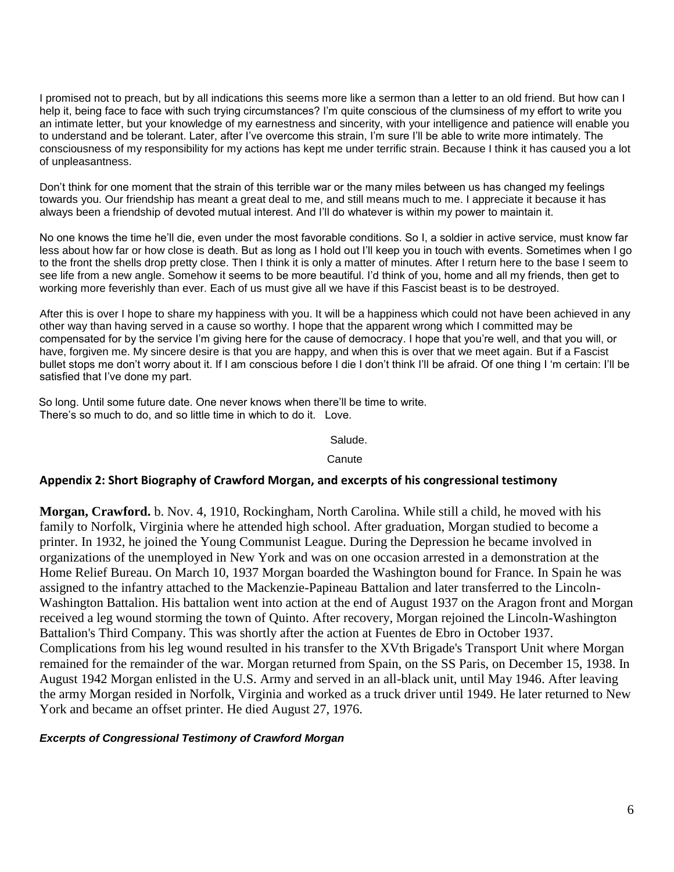I promised not to preach, but by all indications this seems more like a sermon than a letter to an old friend. But how can I help it, being face to face with such trying circumstances? I'm quite conscious of the clumsiness of my effort to write you an intimate letter, but your knowledge of my earnestness and sincerity, with your intelligence and patience will enable you to understand and be tolerant. Later, after I've overcome this strain, I'm sure I'll be able to write more intimately. The consciousness of my responsibility for my actions has kept me under terrific strain. Because I think it has caused you a lot of unpleasantness.

Don't think for one moment that the strain of this terrible war or the many miles between us has changed my feelings towards you. Our friendship has meant a great deal to me, and still means much to me. I appreciate it because it has always been a friendship of devoted mutual interest. And I'll do whatever is within my power to maintain it.

 No one knows the time he'll die, even under the most favorable conditions. So I, a soldier in active service, must know far less about how far or how close is death. But as long as I hold out I'll keep you in touch with events. Sometimes when I go to the front the shells drop pretty close. Then I think it is only a matter of minutes. After I return here to the base I seem to see life from a new angle. Somehow it seems to be more beautiful. I'd think of you, home and all my friends, then get to working more feverishly than ever. Each of us must give all we have if this Fascist beast is to be destroyed.

 After this is over I hope to share my happiness with you. It will be a happiness which could not have been achieved in any other way than having served in a cause so worthy. I hope that the apparent wrong which I committed may be compensated for by the service I'm giving here for the cause of democracy. I hope that you're well, and that you will, or have, forgiven me. My sincere desire is that you are happy, and when this is over that we meet again. But if a Fascist bullet stops me don't worry about it. If I am conscious before I die I don't think I'll be afraid. Of one thing I 'm certain: I'll be satisfied that I've done my part.

 So long. Until some future date. One never knows when there'll be time to write. There's so much to do, and so little time in which to do it. Love.

Salude.

**Canute** Canute Canute Canute

#### **Appendix 2: Short Biography of Crawford Morgan, and excerpts of his congressional testimony**

**Morgan, Crawford.** b. Nov. 4, 1910, Rockingham, North Carolina. While still a child, he moved with his family to Norfolk, Virginia where he attended high school. After graduation, Morgan studied to become a printer. In 1932, he joined the Young Communist League. During the Depression he became involved in organizations of the unemployed in New York and was on one occasion arrested in a demonstration at the Home Relief Bureau. On March 10, 1937 Morgan boarded the Washington bound for France. In Spain he was assigned to the infantry attached to the Mackenzie-Papineau Battalion and later transferred to the Lincoln-Washington Battalion. His battalion went into action at the end of August 1937 on the Aragon front and Morgan received a leg wound storming the town of Quinto. After recovery, Morgan rejoined the Lincoln-Washington Battalion's Third Company. This was shortly after the action at Fuentes de Ebro in October 1937. Complications from his leg wound resulted in his transfer to the XVth Brigade's Transport Unit where Morgan remained for the remainder of the war. Morgan returned from Spain, on the SS Paris, on December 15, 1938. In August 1942 Morgan enlisted in the U.S. Army and served in an all-black unit, until May 1946. After leaving the army Morgan resided in Norfolk, Virginia and worked as a truck driver until 1949. He later returned to New York and became an offset printer. He died August 27, 1976.

#### *Excerpts of Congressional Testimony of Crawford Morgan*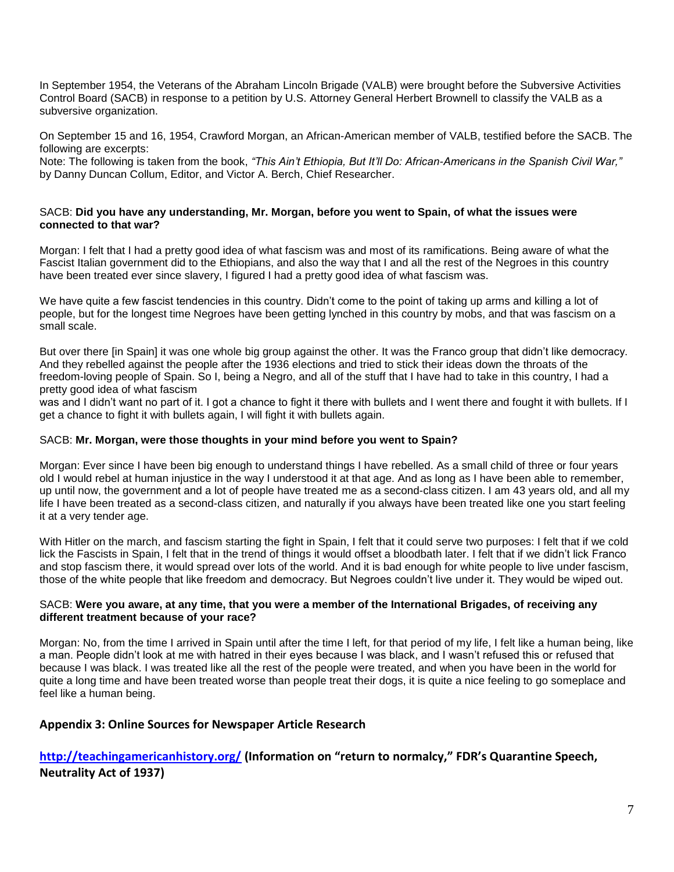In September 1954, the Veterans of the Abraham Lincoln Brigade (VALB) were brought before the Subversive Activities Control Board (SACB) in response to a petition by U.S. Attorney General Herbert Brownell to classify the VALB as a subversive organization.

On September 15 and 16, 1954, Crawford Morgan, an African-American member of VALB, testified before the SACB. The following are excerpts:

Note: The following is taken from the book, *"This Ain't Ethiopia, But It'll Do: African-Americans in the Spanish Civil War,"*  by Danny Duncan Collum, Editor, and Victor A. Berch, Chief Researcher.

#### SACB: **Did you have any understanding, Mr. Morgan, before you went to Spain, of what the issues were connected to that war?**

Morgan: I felt that I had a pretty good idea of what fascism was and most of its ramifications. Being aware of what the Fascist Italian government did to the Ethiopians, and also the way that I and all the rest of the Negroes in this country have been treated ever since slavery, I figured I had a pretty good idea of what fascism was.

We have quite a few fascist tendencies in this country. Didn't come to the point of taking up arms and killing a lot of people, but for the longest time Negroes have been getting lynched in this country by mobs, and that was fascism on a small scale.

But over there [in Spain] it was one whole big group against the other. It was the Franco group that didn't like democracy. And they rebelled against the people after the 1936 elections and tried to stick their ideas down the throats of the freedom-loving people of Spain. So I, being a Negro, and all of the stuff that I have had to take in this country, I had a pretty good idea of what fascism

was and I didn't want no part of it. I got a chance to fight it there with bullets and I went there and fought it with bullets. If I get a chance to fight it with bullets again, I will fight it with bullets again.

#### SACB: **Mr. Morgan, were those thoughts in your mind before you went to Spain?**

Morgan: Ever since I have been big enough to understand things I have rebelled. As a small child of three or four years old I would rebel at human injustice in the way I understood it at that age. And as long as I have been able to remember, up until now, the government and a lot of people have treated me as a second-class citizen. I am 43 years old, and all my life I have been treated as a second-class citizen, and naturally if you always have been treated like one you start feeling it at a very tender age.

With Hitler on the march, and fascism starting the fight in Spain, I felt that it could serve two purposes: I felt that if we cold lick the Fascists in Spain, I felt that in the trend of things it would offset a bloodbath later. I felt that if we didn't lick Franco and stop fascism there, it would spread over lots of the world. And it is bad enough for white people to live under fascism, those of the white people that like freedom and democracy. But Negroes couldn't live under it. They would be wiped out.

#### SACB: **Were you aware, at any time, that you were a member of the International Brigades, of receiving any different treatment because of your race?**

Morgan: No, from the time I arrived in Spain until after the time I left, for that period of my life, I felt like a human being, like a man. People didn't look at me with hatred in their eyes because I was black, and I wasn't refused this or refused that because I was black. I was treated like all the rest of the people were treated, and when you have been in the world for quite a long time and have been treated worse than people treat their dogs, it is quite a nice feeling to go someplace and feel like a human being.

#### **Appendix 3: Online Sources for Newspaper Article Research**

**<http://teachingamericanhistory.org/> (Information on "return to normalcy," FDR's Quarantine Speech, Neutrality Act of 1937)**